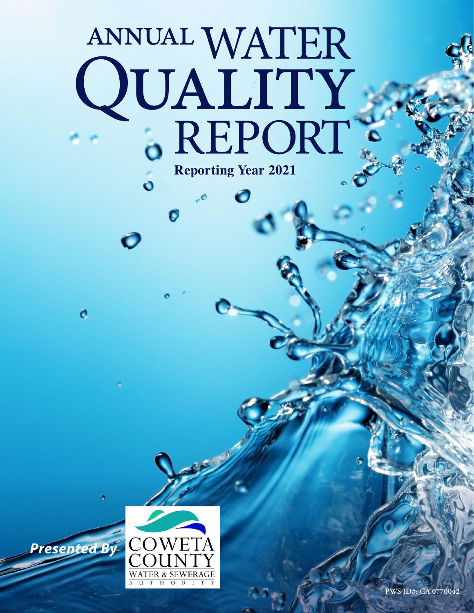# ANNUAL WATER<br>QUALITY<br>6 REPORT **Reporting Year 2021**

0

 $\ddot{\mathbf{o}}$ 

O

o

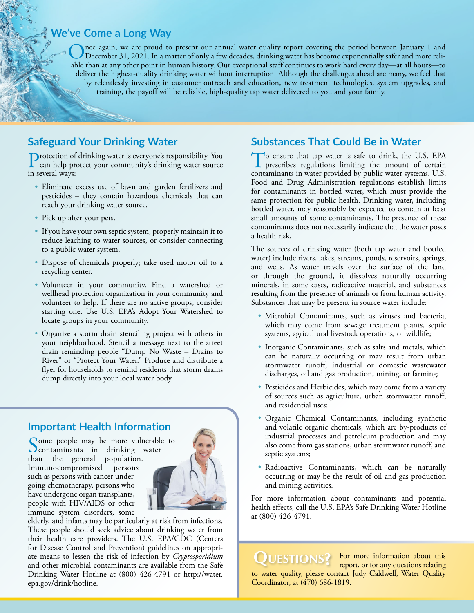#### **We've Come a Long Way**

Once again, we are proud to present our annual water quality report covering the period between January 1 and<br>December 31, 2021. In a matter of only a few decades, drinking water has become exponentially safer and more rel able than at any other point in human history. Our exceptional staff continues to work hard every day—at all hours—to deliver the highest-quality drinking water without interruption. Although the challenges ahead are many, we feel that by relentlessly investing in customer outreach and education, new treatment technologies, system upgrades, and training, the payoff will be reliable, high-quality tap water delivered to you and your family.

### **Safeguard Your Drinking Water**

Protection of drinking water is everyone's responsibility. You can help protect your community's drinking water source in several ways:

- Eliminate excess use of lawn and garden fertilizers and pesticides – they contain hazardous chemicals that can reach your drinking water source.
- Pick up after your pets.
- If you have your own septic system, properly maintain it to reduce leaching to water sources, or consider connecting to a public water system.
- Dispose of chemicals properly; take used motor oil to a recycling center.
- Volunteer in your community. Find a watershed or wellhead protection organization in your community and volunteer to help. If there are no active groups, consider starting one. Use U.S. EPA's Adopt Your Watershed to locate groups in your community.
- Organize a storm drain stenciling project with others in your neighborhood. Stencil a message next to the street drain reminding people "Dump No Waste – Drains to River" or "Protect Your Water." Produce and distribute a flyer for households to remind residents that storm drains dump directly into your local water body.

# **Important Health Information**

Some people may be more vulnerable to<br>
contaminants in drinking water than the general population. Immunocompromised persons such as persons with cancer undergoing chemotherapy, persons who have undergone organ transplants, people with HIV/AIDS or other immune system disorders, some



elderly, and infants may be particularly at risk from infections. These people should seek advice about drinking water from their health care providers. The U.S. EPA/CDC (Centers for Disease Control and Prevention) guidelines on appropriate means to lessen the risk of infection by *Cryptosporidium* and other microbial contaminants are available from the Safe Drinking Water Hotline at (800) 426-4791 or [http://water.](http://water.epa.gov/drink/hotline) [epa.gov/drink/hotline](http://water.epa.gov/drink/hotline).

# **Substances That Could Be in Water**

To ensure that tap water is safe to drink, the U.S. EPA prescribes regulations limiting the amount of certain contaminants in water provided by public water systems. U.S. Food and Drug Administration regulations establish limits for contaminants in bottled water, which must provide the same protection for public health. Drinking water, including bottled water, may reasonably be expected to contain at least small amounts of some contaminants. The presence of these contaminants does not necessarily indicate that the water poses a health risk.

The sources of drinking water (both tap water and bottled water) include rivers, lakes, streams, ponds, reservoirs, springs, and wells. As water travels over the surface of the land or through the ground, it dissolves naturally occurring minerals, in some cases, radioactive material, and substances resulting from the presence of animals or from human activity. Substances that may be present in source water include:

- Microbial Contaminants, such as viruses and bacteria, which may come from sewage treatment plants, septic systems, agricultural livestock operations, or wildlife;
- Inorganic Contaminants, such as salts and metals, which can be naturally occurring or may result from urban stormwater runoff, industrial or domestic wastewater discharges, oil and gas production, mining, or farming;
- Pesticides and Herbicides, which may come from a variety of sources such as agriculture, urban stormwater runoff, and residential uses;
- Organic Chemical Contaminants, including synthetic and volatile organic chemicals, which are by-products of industrial processes and petroleum production and may also come from gas stations, urban stormwater runoff, and septic systems;
- Radioactive Contaminants, which can be naturally occurring or may be the result of oil and gas production and mining activities.

For more information about contaminants and potential health effects, call the U.S. EPA's Safe Drinking Water Hotline at (800) 426-4791.

QUESTIONS? For more information about this report, or for any questions relating to water quality, please contact Judy Caldwell, Water Quality Coordinator, at (470) 686-1819.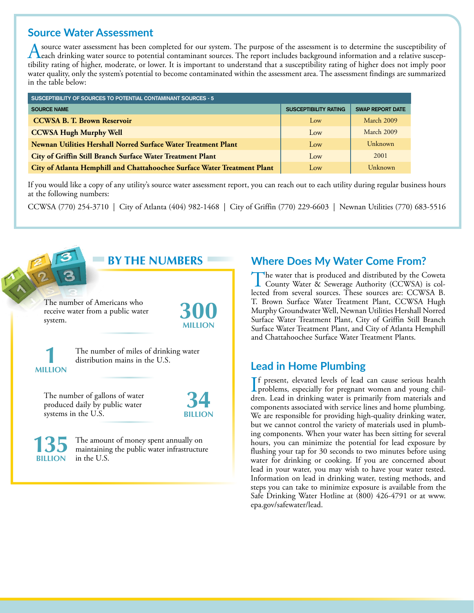#### **Source Water Assessment**

A source water assessment has been completed for our system. The purpose of the assessment is to determine the susceptibility of<br>Leach drinking water source to potential contaminant sources. The report includes background tibility rating of higher, moderate, or lower. It is important to understand that a susceptibility rating of higher does not imply poor water quality, only the system's potential to become contaminated within the assessment area. The assessment findings are summarized in the table below:

| SUSCEPTIBILITY OF SOURCES TO POTENTIAL CONTAMINANT SOURCES - 5           |                              |                         |
|--------------------------------------------------------------------------|------------------------------|-------------------------|
| <b>SOURCE NAME</b>                                                       | <b>SUSCEPTIBILITY RATING</b> | <b>SWAP REPORT DATE</b> |
| <b>CCWSA B. T. Brown Reservoir</b>                                       | Low                          | March 2009              |
| <b>CCWSA Hugh Murphy Well</b>                                            | Low                          | March 2009              |
| Newnan Utilities Hershall Norred Surface Water Treatment Plant           | Low                          | Unknown                 |
| City of Griffin Still Branch Surface Water Treatment Plant               | Low                          | 2001                    |
| City of Atlanta Hemphill and Chattahoochee Surface Water Treatment Plant | Low                          | Unknown                 |

If you would like a copy of any utility's source water assessment report, you can reach out to each utility during regular business hours at the following numbers:

CCWSA (770) 254-3710 | City of Atlanta (404) 982-1468 | City of Griffin (770) 229-6603 | Newnan Utilities (770) 683-5516



# **Where Does My Water Come From?**

The water that is produced and distributed by the Coweta<br>County Water & Sewerage Authority (CCWSA) is collected from several sources. These sources are: CCWSA B. T. Brown Surface Water Treatment Plant, CCWSA Hugh Murphy Groundwater Well, Newnan Utilities Hershall Norred Surface Water Treatment Plant, City of Griffin Still Branch Surface Water Treatment Plant, and City of Atlanta Hemphill and Chattahoochee Surface Water Treatment Plants.

### **Lead in Home Plumbing**

If present, elevated levels of lead can cause serious health<br>problems, especially for pregnant women and young chil-<br>data Joed in driveling were is primarily from materials and f present, elevated levels of lead can cause serious health dren. Lead in drinking water is primarily from materials and components associated with service lines and home plumbing. We are responsible for providing high-quality drinking water, but we cannot control the variety of materials used in plumbing components. When your water has been sitting for several hours, you can minimize the potential for lead exposure by flushing your tap for 30 seconds to two minutes before using water for drinking or cooking. If you are concerned about lead in your water, you may wish to have your water tested. Information on lead in drinking water, testing methods, and steps you can take to minimize exposure is available from the Safe Drinking Water Hotline at (800) 426-4791 or at [www.](http://www.epa.gov/safewater/lead) [epa.gov/safewater/lead.](http://www.epa.gov/safewater/lead)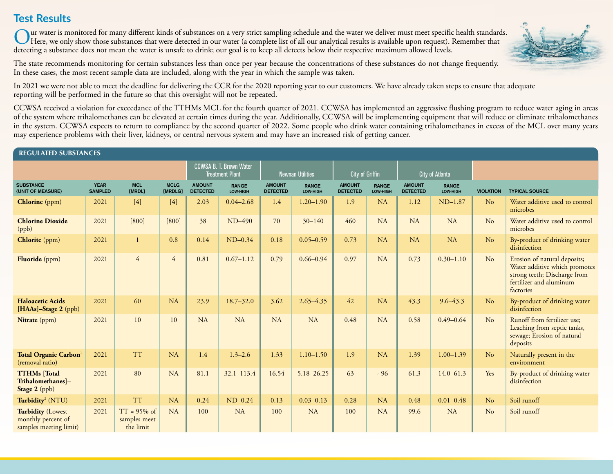# **Test Results**

Our water is monitored for many different kinds of substances on a very strict sampling schedule and the water we deliver must meet specific health standards.<br>Here, we only show those substances that were detected in our w detecting a substance does not mean the water is unsafe to drink; our goal is to keep all detects below their respective maximum allowed levels.

The state recommends monitoring for certain substances less than once per year because the concentrations of these substances do not change frequently. In these cases, the most recent sample data are included, along with the year in which the sample was taken.



CCWSA received a violation for exceedance of the TTHMs MCL for the fourth quarter of 2021. CCWSA has implemented an aggressive flushing program to reduce water aging in areas of the system where trihalomethanes can be elevated at certain times during the year. Additionally, CCWSA will be implementing equipment that will reduce or eliminate trihalomethanes in the system. CCWSA expects to return to compliance by the second quarter of 2022. Some people who drink water containing trihalomethanes in excess of the MCL over many years may experience problems with their liver, kidneys, or central nervous system and may have an increased risk of getting cancer.

#### REGULATED SUBSTANCES

|                                                                          |                               |                                             |                        |                                  | <b>CCWSA B. T. Brown Water</b><br><b>Treatment Plant</b> |                                  | <b>Newnan Utilities</b>  | <b>City of Griffin</b>           |                          | <b>City of Atlanta</b>           |                          |                  |                                                                                                                                       |
|--------------------------------------------------------------------------|-------------------------------|---------------------------------------------|------------------------|----------------------------------|----------------------------------------------------------|----------------------------------|--------------------------|----------------------------------|--------------------------|----------------------------------|--------------------------|------------------|---------------------------------------------------------------------------------------------------------------------------------------|
| <b>SUBSTANCE</b><br>(UNIT OF MEASURE)                                    | <b>YEAR</b><br><b>SAMPLED</b> | <b>MCL</b><br>[MRDL]                        | <b>MCLG</b><br>[MRDLG] | <b>AMOUNT</b><br><b>DETECTED</b> | <b>RANGE</b><br>LOW-HIGH                                 | <b>AMOUNT</b><br><b>DETECTED</b> | <b>RANGE</b><br>LOW-HIGH | <b>AMOUNT</b><br><b>DETECTED</b> | <b>RANGE</b><br>LOW-HIGH | <b>AMOUNT</b><br><b>DETECTED</b> | <b>RANGE</b><br>LOW-HIGH | <b>VIOLATION</b> | <b>TYPICAL SOURCE</b>                                                                                                                 |
| <b>Chlorine</b> (ppm)                                                    | 2021                          | $[4]$                                       | $[4]$                  | 2.03                             | $0.04 - 2.68$                                            | 1.4                              | $1.20 - 1.90$            | 1.9                              | <b>NA</b>                | 1.12                             | $ND-1.87$                | No               | Water additive used to control<br>microbes                                                                                            |
| <b>Chlorine Dioxide</b><br>(ppb)                                         | 2021                          | $[800]$                                     | $[800]$                | 38                               | ND-490                                                   | 70                               | $30 - 140$               | 460                              | <b>NA</b>                | NA                               | <b>NA</b>                | No               | Water additive used to control<br>microbes                                                                                            |
| Chlorite (ppm)                                                           | 2021                          |                                             | 0.8                    | 0.14                             | $ND-0.34$                                                | 0.18                             | $0.05 - 0.59$            | 0.73                             | NA                       | NA                               | <b>NA</b>                | No               | By-product of drinking water<br>disinfection                                                                                          |
| Fluoride (ppm)                                                           | 2021                          | $\overline{4}$                              | $\overline{4}$         | 0.81                             | $0.67 - 1.12$                                            | 0.79                             | $0.66 - 0.94$            | 0.97                             | NA                       | 0.73                             | $0.30 - 1.10$            | No               | Erosion of natural deposits;<br>Water additive which promotes<br>strong teeth; Discharge from<br>fertilizer and aluminum<br>factories |
| <b>Haloacetic Acids</b><br>[HAAs]-Stage 2 (ppb)                          | 2021                          | 60                                          | NA                     | 23.9                             | $18.7 - 32.0$                                            | 3.62                             | $2.65 - 4.35$            | 42                               | NA                       | 43.3                             | $9.6 - 43.3$             | No               | By-product of drinking water<br>disinfection                                                                                          |
| Nitrate (ppm)                                                            | 2021                          | 10                                          | 10                     | <b>NA</b>                        | <b>NA</b>                                                | <b>NA</b>                        | <b>NA</b>                | 0.48                             | <b>NA</b>                | 0.58                             | $0.49 - 0.64$            | No               | Runoff from fertilizer use;<br>Leaching from septic tanks,<br>sewage; Erosion of natural<br>deposits                                  |
| Total Organic Carbon <sup>1</sup><br>(removal ratio)                     | 2021                          | <b>TT</b>                                   | NA                     | 1.4                              | $1.3 - 2.6$                                              | 1.33                             | $1.10 - 1.50$            | 1.9                              | NA                       | 1.39                             | $1.00 - 1.39$            | N <sub>o</sub>   | Naturally present in the<br>environment                                                                                               |
| <b>TTHMs</b> [Total<br>Trihalomethanes]-<br>Stage $2$ (ppb)              | 2021                          | 80                                          | <b>NA</b>              | 81.1                             | $32.1 - 113.4$                                           | 16.54                            | $5.18 - 26.25$           | 63                               | $-96$                    | 61.3                             | $14.0 - 61.3$            | Yes              | By-product of drinking water<br>disinfection                                                                                          |
| Turbidity <sup>2</sup> (NTU)                                             | 2021                          | <b>TT</b>                                   | NA                     | 0.24                             | $ND-0.24$                                                | 0.13                             | $0.03 - 0.13$            | 0.28                             | NA                       | 0.48                             | $0.01 - 0.48$            | No               | Soil runoff                                                                                                                           |
| <b>Turbidity (Lowest</b><br>monthly percent of<br>samples meeting limit) | 2021                          | $TT = 95\%$ of<br>samples meet<br>the limit | NA                     | 100                              | <b>NA</b>                                                | 100                              | NA                       | 100                              | <b>NA</b>                | 99.6                             | <b>NA</b>                | No               | Soil runoff                                                                                                                           |